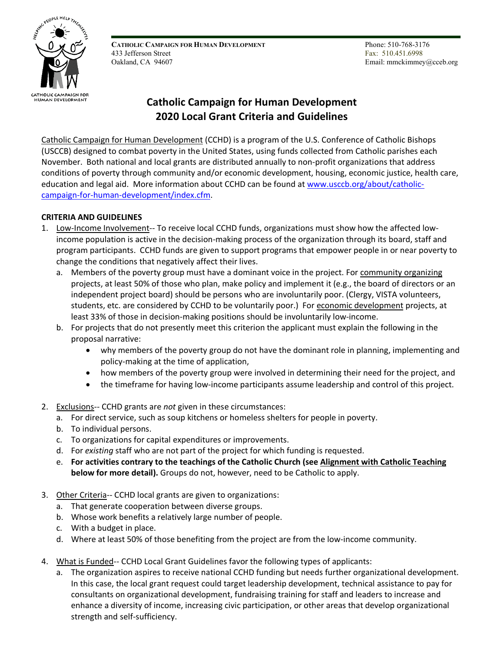

**CATHOLIC CAMPAIGN FOR HUMAN DEVELOPMENT** 433 Jefferson Street Oakland, CA 94607

 Phone: 510-768-3176 Fax: 510.451.6998 Email: mmckimmey@cceb.org

# **Catholic Campaign for Human Development 2020 Local Grant Criteria and Guidelines**

Catholic Campaign for Human Development (CCHD) is a program of the U.S. Conference of Catholic Bishops (USCCB) designed to combat poverty in the United States, using funds collected from Catholic parishes each November. Both national and local grants are distributed annually to non-profit organizations that address conditions of poverty through community and/or economic development, housing, economic justice, health care, education and legal aid. More information about CCHD can be found at [www.usccb.org/about/catholic](http://www.usccb.org/about/catholic-campaign-for-human-development/index.cfm)[campaign-for-human-development/index.cfm.](http://www.usccb.org/about/catholic-campaign-for-human-development/index.cfm)

## **CRITERIA AND GUIDELINES**

- 1. Low-Income Involvement-- To receive local CCHD funds, organizations must show how the affected lowincome population is active in the decision-making process of the organization through its board, staff and program participants. CCHD funds are given to support programs that empower people in or near poverty to change the conditions that negatively affect their lives.
	- a. Members of the poverty group must have a dominant voice in the project. For community organizing projects, at least 50% of those who plan, make policy and implement it (e.g., the board of directors or an independent project board) should be persons who are involuntarily poor. (Clergy, VISTA volunteers, students, etc. are considered by CCHD to be voluntarily poor.) For economic development projects, at least 33% of those in decision-making positions should be involuntarily low-income.
	- b. For projects that do not presently meet this criterion the applicant must explain the following in the proposal narrative:
		- why members of the poverty group do not have the dominant role in planning, implementing and policy-making at the time of application,
		- how members of the poverty group were involved in determining their need for the project, and
		- the timeframe for having low-income participants assume leadership and control of this project.
- 2. Exclusions-- CCHD grants are *not* given in these circumstances:
	- a. For direct service, such as soup kitchens or homeless shelters for people in poverty.
	- b. To individual persons.
	- c. To organizations for capital expenditures or improvements.
	- d. For *existing* staff who are not part of the project for which funding is requested.
	- e. **For activities contrary to the teachings of the Catholic Church (see Alignment with Catholic Teaching below for more detail).** Groups do not, however, need to be Catholic to apply.
- 3. Other Criteria-- CCHD local grants are given to organizations:
	- a. That generate cooperation between diverse groups.
	- b. Whose work benefits a relatively large number of people.
	- c. With a budget in place.
	- d. Where at least 50% of those benefiting from the project are from the low-income community.
- 4. What is Funded-- CCHD Local Grant Guidelines favor the following types of applicants:
	- a. The organization aspires to receive national CCHD funding but needs further organizational development. In this case, the local grant request could target leadership development, technical assistance to pay for consultants on organizational development, fundraising training for staff and leaders to increase and enhance a diversity of income, increasing civic participation, or other areas that develop organizational strength and self-sufficiency.